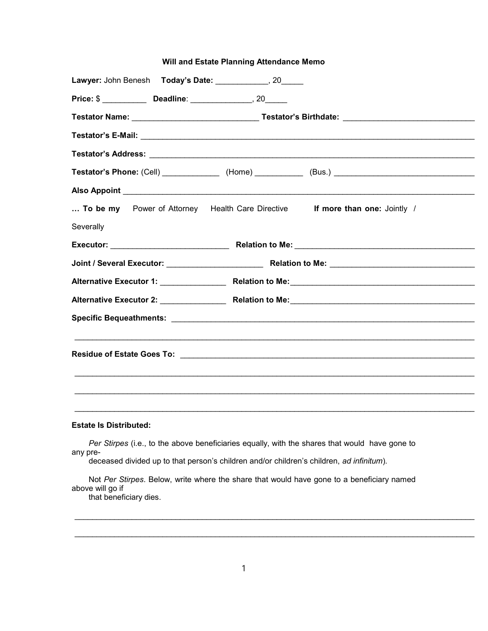## Will and Estate Planning Attendance Memo

|           |  | Lawyer: John Benesh Today's Date: _____________, 20_____ |                                                                                                            |
|-----------|--|----------------------------------------------------------|------------------------------------------------------------------------------------------------------------|
|           |  |                                                          |                                                                                                            |
|           |  |                                                          |                                                                                                            |
|           |  |                                                          |                                                                                                            |
|           |  |                                                          |                                                                                                            |
|           |  |                                                          | Testator's Phone: (Cell) _________________ (Home) _____________ (Bus.) ___________________________________ |
|           |  |                                                          |                                                                                                            |
|           |  |                                                          | To be my Power of Attorney Health Care Directive If more than one: Jointly /                               |
| Severally |  |                                                          |                                                                                                            |
|           |  |                                                          |                                                                                                            |
|           |  |                                                          |                                                                                                            |
|           |  |                                                          |                                                                                                            |
|           |  |                                                          |                                                                                                            |
|           |  |                                                          |                                                                                                            |
|           |  |                                                          |                                                                                                            |
|           |  |                                                          |                                                                                                            |
|           |  |                                                          |                                                                                                            |
|           |  |                                                          |                                                                                                            |
|           |  |                                                          |                                                                                                            |

## Estate Is Distributed:

Per Stirpes (i.e., to the above beneficiaries equally, with the shares that would have gone to any pre-

deceased divided up to that person's children and/or children's children, ad infinitum).

Not Per Stirpes. Below, write where the share that would have gone to a beneficiary named above will go if

 $\mathcal{L}_\mathcal{L} = \mathcal{L}_\mathcal{L} = \mathcal{L}_\mathcal{L} = \mathcal{L}_\mathcal{L} = \mathcal{L}_\mathcal{L} = \mathcal{L}_\mathcal{L} = \mathcal{L}_\mathcal{L} = \mathcal{L}_\mathcal{L} = \mathcal{L}_\mathcal{L} = \mathcal{L}_\mathcal{L} = \mathcal{L}_\mathcal{L} = \mathcal{L}_\mathcal{L} = \mathcal{L}_\mathcal{L} = \mathcal{L}_\mathcal{L} = \mathcal{L}_\mathcal{L} = \mathcal{L}_\mathcal{L} = \mathcal{L}_\mathcal{L}$ 

that beneficiary dies.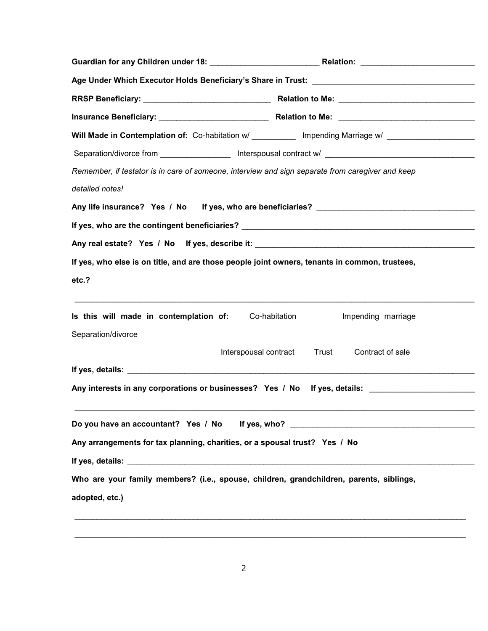|                                                                                                  | Will Made in Contemplation of: Co-habitation w/ ____________ Impending Marriage w/ _________________ |  |  |  |
|--------------------------------------------------------------------------------------------------|------------------------------------------------------------------------------------------------------|--|--|--|
|                                                                                                  |                                                                                                      |  |  |  |
| Remember, if testator is in care of someone, interview and sign separate from caregiver and keep |                                                                                                      |  |  |  |
| detailed notes!                                                                                  |                                                                                                      |  |  |  |
|                                                                                                  |                                                                                                      |  |  |  |
|                                                                                                  |                                                                                                      |  |  |  |
|                                                                                                  |                                                                                                      |  |  |  |
| If yes, who else is on title, and are those people joint owners, tenants in common, trustees,    |                                                                                                      |  |  |  |
| etc.?                                                                                            |                                                                                                      |  |  |  |
| Is this will made in contemplation of: Co-habitation                                             | Impending marriage                                                                                   |  |  |  |
| Separation/divorce                                                                               |                                                                                                      |  |  |  |
|                                                                                                  | Trust<br>Interspousal contract<br>Contract of sale                                                   |  |  |  |
|                                                                                                  | Any interests in any corporations or businesses? Yes / No If yes, details: ________________________  |  |  |  |
|                                                                                                  | Do you have an accountant? Yes / No If yes, who? _______________________________                     |  |  |  |
| Any arrangements for tax planning, charities, or a spousal trust? Yes / No                       |                                                                                                      |  |  |  |
|                                                                                                  |                                                                                                      |  |  |  |
| Who are your family members? (i.e., spouse, children, grandchildren, parents, siblings,          |                                                                                                      |  |  |  |
| adopted, etc.)                                                                                   |                                                                                                      |  |  |  |
|                                                                                                  |                                                                                                      |  |  |  |